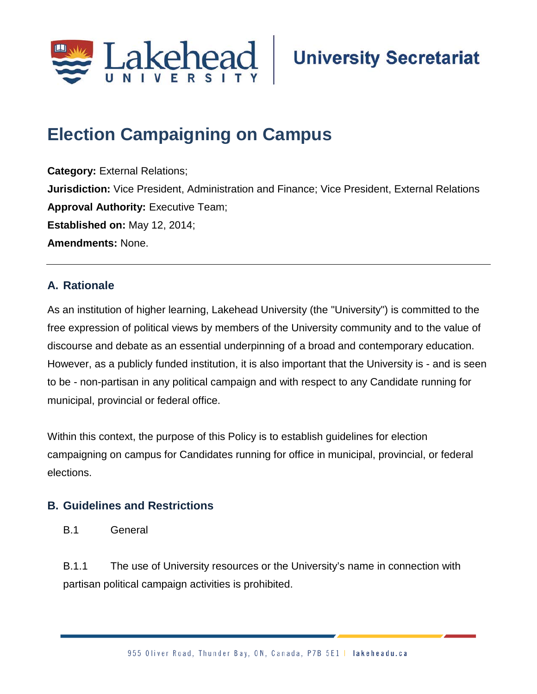

# **Election Campaigning on Campus**

**Category:** External Relations; **Jurisdiction:** Vice President, Administration and Finance; Vice President, External Relations **Approval Authority: Executive Team; Established on:** May 12, 2014; **Amendments:** None.

## **A. Rationale**

As an institution of higher learning, Lakehead University (the "University") is committed to the free expression of political views by members of the University community and to the value of discourse and debate as an essential underpinning of a broad and contemporary education. However, as a publicly funded institution, it is also important that the University is - and is seen to be - non-partisan in any political campaign and with respect to any Candidate running for municipal, provincial or federal office.

Within this context, the purpose of this Policy is to establish guidelines for election campaigning on campus for Candidates running for office in municipal, provincial, or federal elections.

## **B. Guidelines and Restrictions**

B.1 General

B.1.1 The use of University resources or the University's name in connection with partisan political campaign activities is prohibited.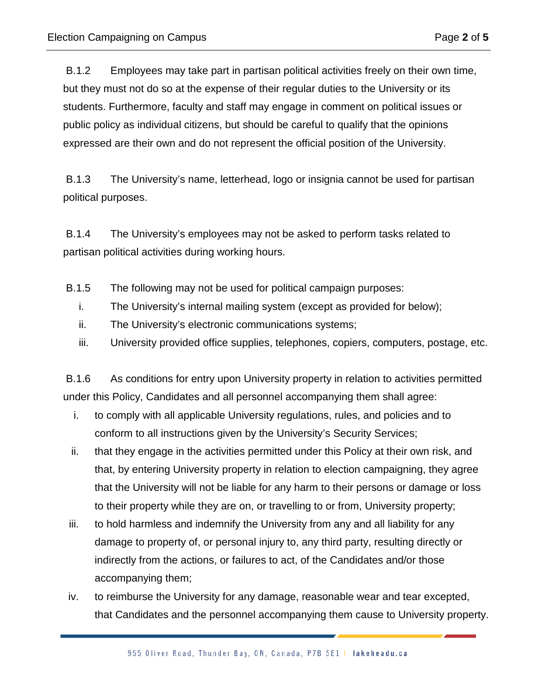B.1.2 Employees may take part in partisan political activities freely on their own time, but they must not do so at the expense of their regular duties to the University or its students. Furthermore, faculty and staff may engage in comment on political issues or public policy as individual citizens, but should be careful to qualify that the opinions expressed are their own and do not represent the official position of the University.

B.1.3 The University's name, letterhead, logo or insignia cannot be used for partisan political purposes.

B.1.4 The University's employees may not be asked to perform tasks related to partisan political activities during working hours.

- B.1.5 The following may not be used for political campaign purposes:
	- i. The University's internal mailing system (except as provided for below);
	- ii. The University's electronic communications systems;
	- iii. University provided office supplies, telephones, copiers, computers, postage, etc.

B.1.6 As conditions for entry upon University property in relation to activities permitted under this Policy, Candidates and all personnel accompanying them shall agree:

- i. to comply with all applicable University regulations, rules, and policies and to conform to all instructions given by the University's Security Services;
- ii. that they engage in the activities permitted under this Policy at their own risk, and that, by entering University property in relation to election campaigning, they agree that the University will not be liable for any harm to their persons or damage or loss to their property while they are on, or travelling to or from, University property;
- iii. to hold harmless and indemnify the University from any and all liability for any damage to property of, or personal injury to, any third party, resulting directly or indirectly from the actions, or failures to act, of the Candidates and/or those accompanying them;
- iv. to reimburse the University for any damage, reasonable wear and tear excepted, that Candidates and the personnel accompanying them cause to University property.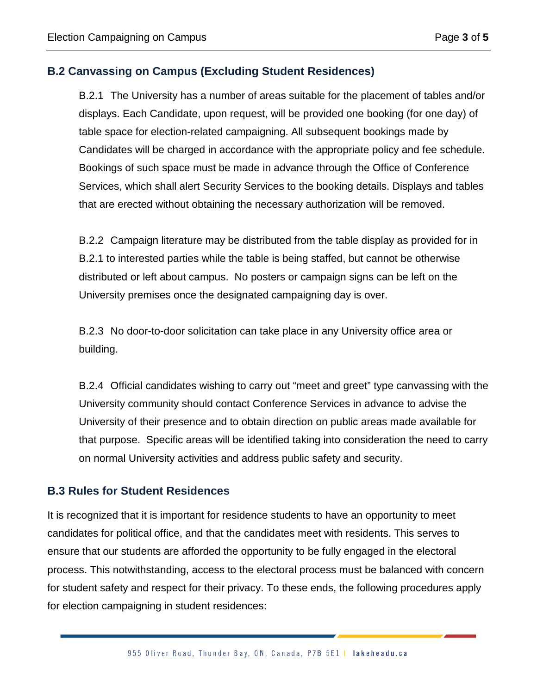### **B.2 Canvassing on Campus (Excluding Student Residences)**

B.2.1 The University has a number of areas suitable for the placement of tables and/or displays. Each Candidate, upon request, will be provided one booking (for one day) of table space for election-related campaigning. All subsequent bookings made by Candidates will be charged in accordance with the appropriate policy and fee schedule. Bookings of such space must be made in advance through the Office of Conference Services, which shall alert Security Services to the booking details. Displays and tables that are erected without obtaining the necessary authorization will be removed.

B.2.2 Campaign literature may be distributed from the table display as provided for in B.2.1 to interested parties while the table is being staffed, but cannot be otherwise distributed or left about campus. No posters or campaign signs can be left on the University premises once the designated campaigning day is over.

B.2.3 No door-to-door solicitation can take place in any University office area or building.

B.2.4 Official candidates wishing to carry out "meet and greet" type canvassing with the University community should contact Conference Services in advance to advise the University of their presence and to obtain direction on public areas made available for that purpose. Specific areas will be identified taking into consideration the need to carry on normal University activities and address public safety and security.

#### **B.3 Rules for Student Residences**

It is recognized that it is important for residence students to have an opportunity to meet candidates for political office, and that the candidates meet with residents. This serves to ensure that our students are afforded the opportunity to be fully engaged in the electoral process. This notwithstanding, access to the electoral process must be balanced with concern for student safety and respect for their privacy. To these ends, the following procedures apply for election campaigning in student residences: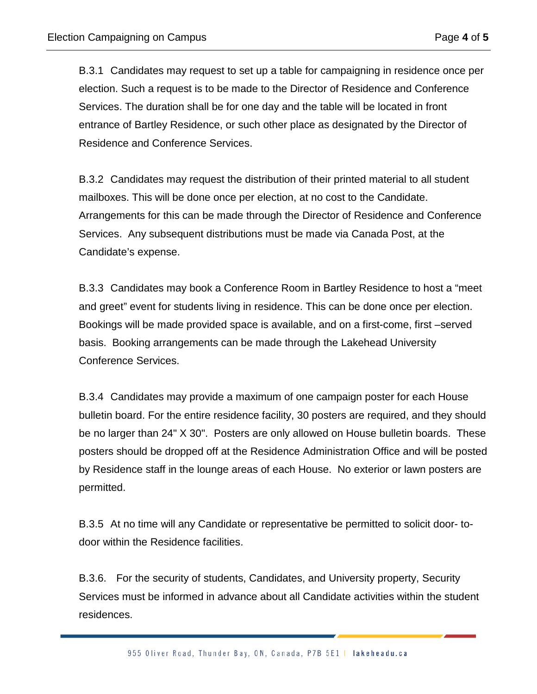B.3.1 Candidates may request to set up a table for campaigning in residence once per election. Such a request is to be made to the Director of Residence and Conference Services. The duration shall be for one day and the table will be located in front entrance of Bartley Residence, or such other place as designated by the Director of Residence and Conference Services.

B.3.2 Candidates may request the distribution of their printed material to all student mailboxes. This will be done once per election, at no cost to the Candidate. Arrangements for this can be made through the Director of Residence and Conference Services. Any subsequent distributions must be made via Canada Post, at the Candidate's expense.

B.3.3 Candidates may book a Conference Room in Bartley Residence to host a "meet and greet" event for students living in residence. This can be done once per election. Bookings will be made provided space is available, and on a first-come, first –served basis. Booking arrangements can be made through the Lakehead University Conference Services.

B.3.4 Candidates may provide a maximum of one campaign poster for each House bulletin board. For the entire residence facility, 30 posters are required, and they should be no larger than 24" X 30". Posters are only allowed on House bulletin boards. These posters should be dropped off at the Residence Administration Office and will be posted by Residence staff in the lounge areas of each House. No exterior or lawn posters are permitted.

B.3.5 At no time will any Candidate or representative be permitted to solicit door- todoor within the Residence facilities.

B.3.6. For the security of students, Candidates, and University property, Security Services must be informed in advance about all Candidate activities within the student residences.